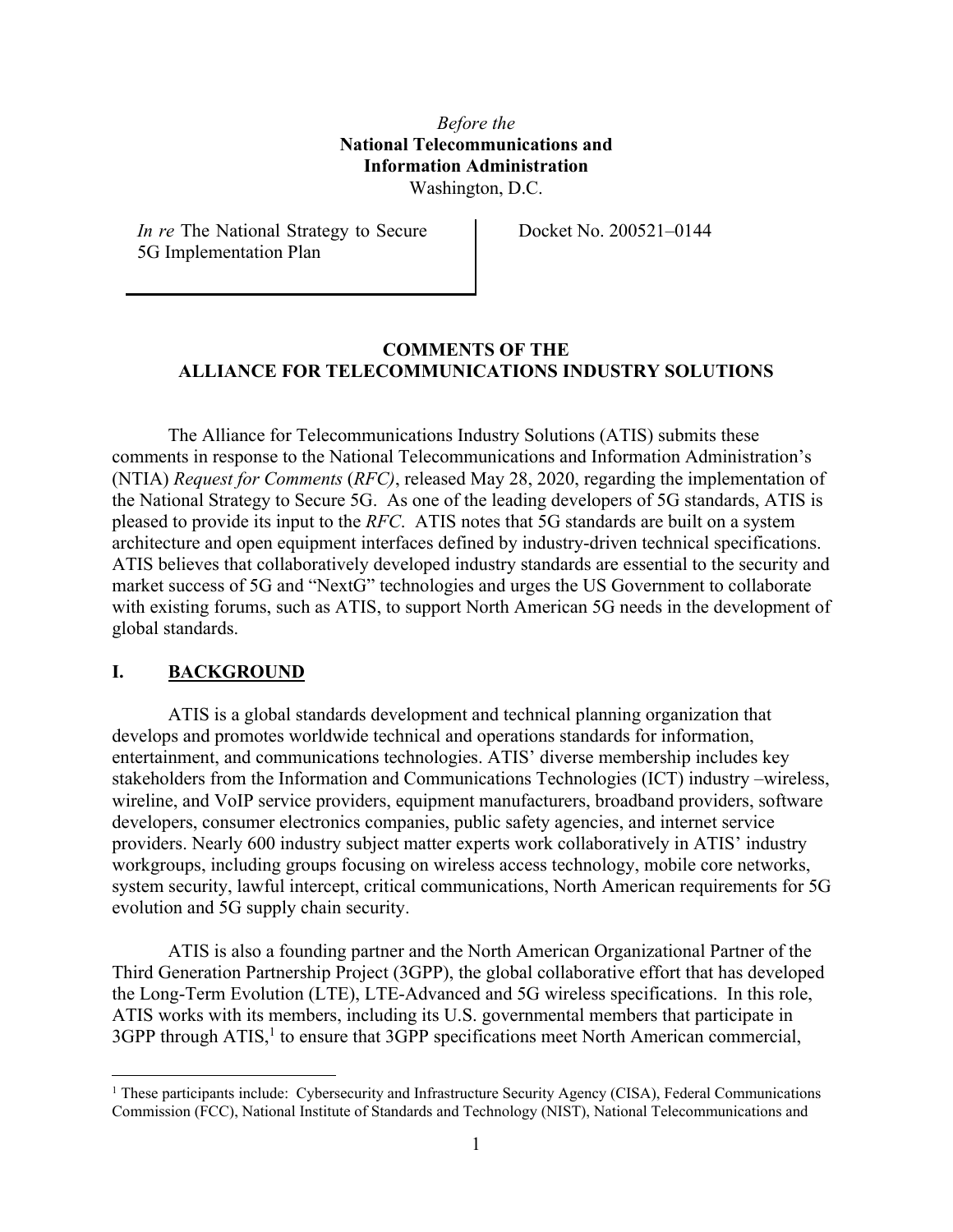## *Before the*  **National Telecommunications and Information Administration**  Washington, D.C.

*In re* The National Strategy to Secure 5G Implementation Plan

Docket No. 200521–0144

### **COMMENTS OF THE ALLIANCE FOR TELECOMMUNICATIONS INDUSTRY SOLUTIONS**

The Alliance for Telecommunications Industry Solutions (ATIS) submits these comments in response to the National Telecommunications and Information Administration's (NTIA) *Request for Comments* (*RFC)*, released May 28, 2020, regarding the implementation of the National Strategy to Secure 5G. As one of the leading developers of 5G standards, ATIS is pleased to provide its input to the *RFC*. ATIS notes that 5G standards are built on a system architecture and open equipment interfaces defined by industry-driven technical specifications. ATIS believes that collaboratively developed industry standards are essential to the security and market success of 5G and "NextG" technologies and urges the US Government to collaborate with existing forums, such as ATIS, to support North American 5G needs in the development of global standards.

### **I. BACKGROUND**

ATIS is a global standards development and technical planning organization that develops and promotes worldwide technical and operations standards for information, entertainment, and communications technologies. ATIS' diverse membership includes key stakeholders from the Information and Communications Technologies (ICT) industry –wireless, wireline, and VoIP service providers, equipment manufacturers, broadband providers, software developers, consumer electronics companies, public safety agencies, and internet service providers. Nearly 600 industry subject matter experts work collaboratively in ATIS' industry workgroups, including groups focusing on wireless access technology, mobile core networks, system security, lawful intercept, critical communications, North American requirements for 5G evolution and 5G supply chain security.

ATIS is also a founding partner and the North American Organizational Partner of the Third Generation Partnership Project (3GPP), the global collaborative effort that has developed the Long-Term Evolution (LTE), LTE-Advanced and 5G wireless specifications. In this role, ATIS works with its members, including its U.S. governmental members that participate in  $3GPP$  through  $ATIS<sub>1</sub><sup>1</sup>$  to ensure that  $3GPP$  specifications meet North American commercial,

<sup>&</sup>lt;sup>1</sup> These participants include: Cybersecurity and Infrastructure Security Agency (CISA), Federal Communications Commission (FCC), National Institute of Standards and Technology (NIST), National Telecommunications and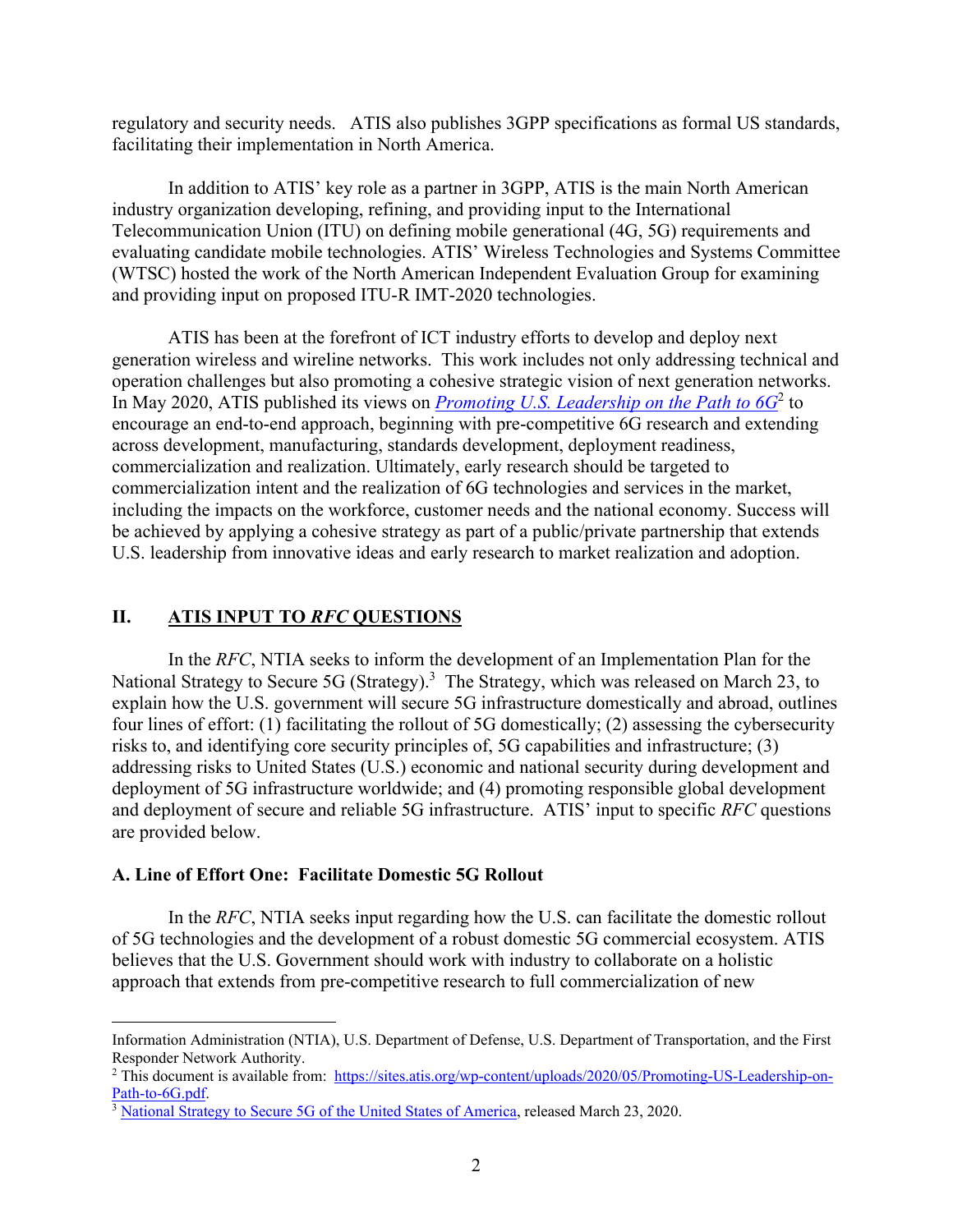regulatory and security needs. ATIS also publishes 3GPP specifications as formal US standards, facilitating their implementation in North America.

In addition to ATIS' key role as a partner in 3GPP, ATIS is the main North American industry organization developing, refining, and providing input to the International Telecommunication Union (ITU) on defining mobile generational (4G, 5G) requirements and evaluating candidate mobile technologies. ATIS' Wireless Technologies and Systems Committee (WTSC) hosted the work of the North American Independent Evaluation Group for examining and providing input on proposed ITU-R IMT-2020 technologies.

ATIS has been at the forefront of ICT industry efforts to develop and deploy next generation wireless and wireline networks. This work includes not only addressing technical and operation challenges but also promoting a cohesive strategic vision of next generation networks. In May 2020, ATIS published its views on *Promoting U.S. Leadership on the Path to 6G*<sup>2</sup> to encourage an end-to-end approach, beginning with pre-competitive 6G research and extending across development, manufacturing, standards development, deployment readiness, commercialization and realization. Ultimately, early research should be targeted to commercialization intent and the realization of 6G technologies and services in the market, including the impacts on the workforce, customer needs and the national economy. Success will be achieved by applying a cohesive strategy as part of a public/private partnership that extends U.S. leadership from innovative ideas and early research to market realization and adoption.

## **II. ATIS INPUT TO** *RFC* **QUESTIONS**

In the *RFC*, NTIA seeks to inform the development of an Implementation Plan for the National Strategy to Secure 5G (Strategy).<sup>3</sup> The Strategy, which was released on March 23, to explain how the U.S. government will secure 5G infrastructure domestically and abroad, outlines four lines of effort: (1) facilitating the rollout of 5G domestically; (2) assessing the cybersecurity risks to, and identifying core security principles of, 5G capabilities and infrastructure; (3) addressing risks to United States (U.S.) economic and national security during development and deployment of 5G infrastructure worldwide; and (4) promoting responsible global development and deployment of secure and reliable 5G infrastructure. ATIS' input to specific *RFC* questions are provided below.

#### **A. Line of Effort One: Facilitate Domestic 5G Rollout**

In the *RFC*, NTIA seeks input regarding how the U.S. can facilitate the domestic rollout of 5G technologies and the development of a robust domestic 5G commercial ecosystem. ATIS believes that the U.S. Government should work with industry to collaborate on a holistic approach that extends from pre-competitive research to full commercialization of new

Information Administration (NTIA), U.S. Department of Defense, U.S. Department of Transportation, and the First Responder Network Authority.

<sup>&</sup>lt;sup>2</sup> This document is available from: https://sites.atis.org/wp-content/uploads/2020/05/Promoting-US-Leadership-on-Path-to-6G.pdf.<br><sup>3</sup> National Strategy to Secure 5G of the United States of America, released March 23, 2020.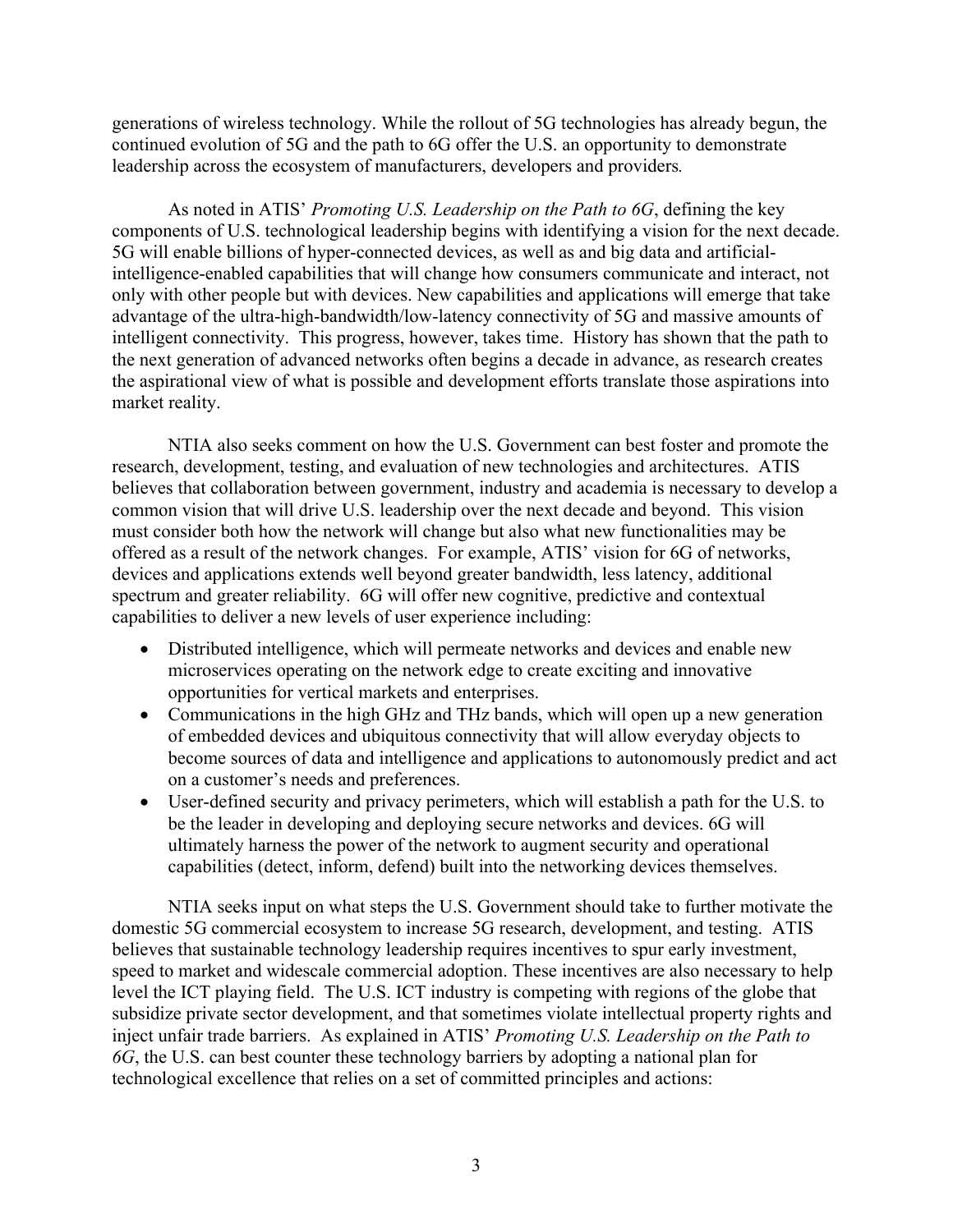generations of wireless technology. While the rollout of 5G technologies has already begun, the continued evolution of 5G and the path to 6G offer the U.S. an opportunity to demonstrate leadership across the ecosystem of manufacturers, developers and providers*.* 

As noted in ATIS' *Promoting U.S. Leadership on the Path to 6G*, defining the key components of U.S. technological leadership begins with identifying a vision for the next decade. 5G will enable billions of hyper-connected devices, as well as and big data and artificialintelligence-enabled capabilities that will change how consumers communicate and interact, not only with other people but with devices. New capabilities and applications will emerge that take advantage of the ultra-high-bandwidth/low-latency connectivity of 5G and massive amounts of intelligent connectivity. This progress, however, takes time. History has shown that the path to the next generation of advanced networks often begins a decade in advance, as research creates the aspirational view of what is possible and development efforts translate those aspirations into market reality.

NTIA also seeks comment on how the U.S. Government can best foster and promote the research, development, testing, and evaluation of new technologies and architectures. ATIS believes that collaboration between government, industry and academia is necessary to develop a common vision that will drive U.S. leadership over the next decade and beyond. This vision must consider both how the network will change but also what new functionalities may be offered as a result of the network changes. For example, ATIS' vision for 6G of networks, devices and applications extends well beyond greater bandwidth, less latency, additional spectrum and greater reliability. 6G will offer new cognitive, predictive and contextual capabilities to deliver a new levels of user experience including:

- Distributed intelligence, which will permeate networks and devices and enable new microservices operating on the network edge to create exciting and innovative opportunities for vertical markets and enterprises.
- Communications in the high GHz and THz bands, which will open up a new generation of embedded devices and ubiquitous connectivity that will allow everyday objects to become sources of data and intelligence and applications to autonomously predict and act on a customer's needs and preferences.
- User-defined security and privacy perimeters, which will establish a path for the U.S. to be the leader in developing and deploying secure networks and devices. 6G will ultimately harness the power of the network to augment security and operational capabilities (detect, inform, defend) built into the networking devices themselves.

NTIA seeks input on what steps the U.S. Government should take to further motivate the domestic 5G commercial ecosystem to increase 5G research, development, and testing. ATIS believes that sustainable technology leadership requires incentives to spur early investment, speed to market and widescale commercial adoption. These incentives are also necessary to help level the ICT playing field. The U.S. ICT industry is competing with regions of the globe that subsidize private sector development, and that sometimes violate intellectual property rights and inject unfair trade barriers. As explained in ATIS' *Promoting U.S. Leadership on the Path to 6G*, the U.S. can best counter these technology barriers by adopting a national plan for technological excellence that relies on a set of committed principles and actions: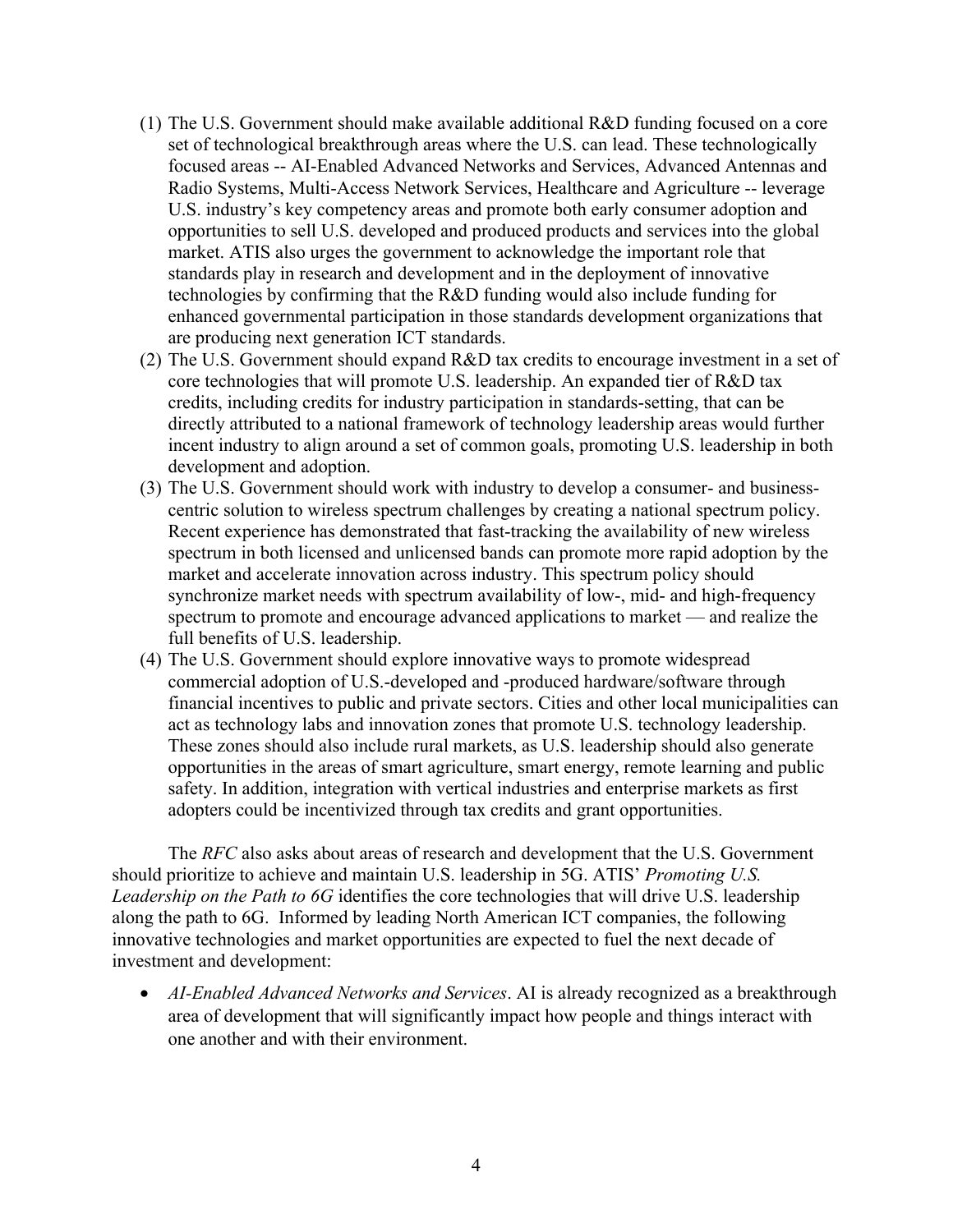- (1) The U.S. Government should make available additional R&D funding focused on a core set of technological breakthrough areas where the U.S. can lead. These technologically focused areas -- AI-Enabled Advanced Networks and Services, Advanced Antennas and Radio Systems, Multi-Access Network Services, Healthcare and Agriculture -- leverage U.S. industry's key competency areas and promote both early consumer adoption and opportunities to sell U.S. developed and produced products and services into the global market. ATIS also urges the government to acknowledge the important role that standards play in research and development and in the deployment of innovative technologies by confirming that the R&D funding would also include funding for enhanced governmental participation in those standards development organizations that are producing next generation ICT standards.
- (2) The U.S. Government should expand R&D tax credits to encourage investment in a set of core technologies that will promote U.S. leadership. An expanded tier of R&D tax credits, including credits for industry participation in standards-setting, that can be directly attributed to a national framework of technology leadership areas would further incent industry to align around a set of common goals, promoting U.S. leadership in both development and adoption.
- (3) The U.S. Government should work with industry to develop a consumer- and businesscentric solution to wireless spectrum challenges by creating a national spectrum policy. Recent experience has demonstrated that fast-tracking the availability of new wireless spectrum in both licensed and unlicensed bands can promote more rapid adoption by the market and accelerate innovation across industry. This spectrum policy should synchronize market needs with spectrum availability of low-, mid- and high-frequency spectrum to promote and encourage advanced applications to market — and realize the full benefits of U.S. leadership.
- (4) The U.S. Government should explore innovative ways to promote widespread commercial adoption of U.S.-developed and -produced hardware/software through financial incentives to public and private sectors. Cities and other local municipalities can act as technology labs and innovation zones that promote U.S. technology leadership. These zones should also include rural markets, as U.S. leadership should also generate opportunities in the areas of smart agriculture, smart energy, remote learning and public safety. In addition, integration with vertical industries and enterprise markets as first adopters could be incentivized through tax credits and grant opportunities.

The *RFC* also asks about areas of research and development that the U.S. Government should prioritize to achieve and maintain U.S. leadership in 5G. ATIS' *Promoting U.S. Leadership on the Path to 6G* identifies the core technologies that will drive U.S. leadership along the path to 6G. Informed by leading North American ICT companies, the following innovative technologies and market opportunities are expected to fuel the next decade of investment and development:

 *AI-Enabled Advanced Networks and Services*. AI is already recognized as a breakthrough area of development that will significantly impact how people and things interact with one another and with their environment.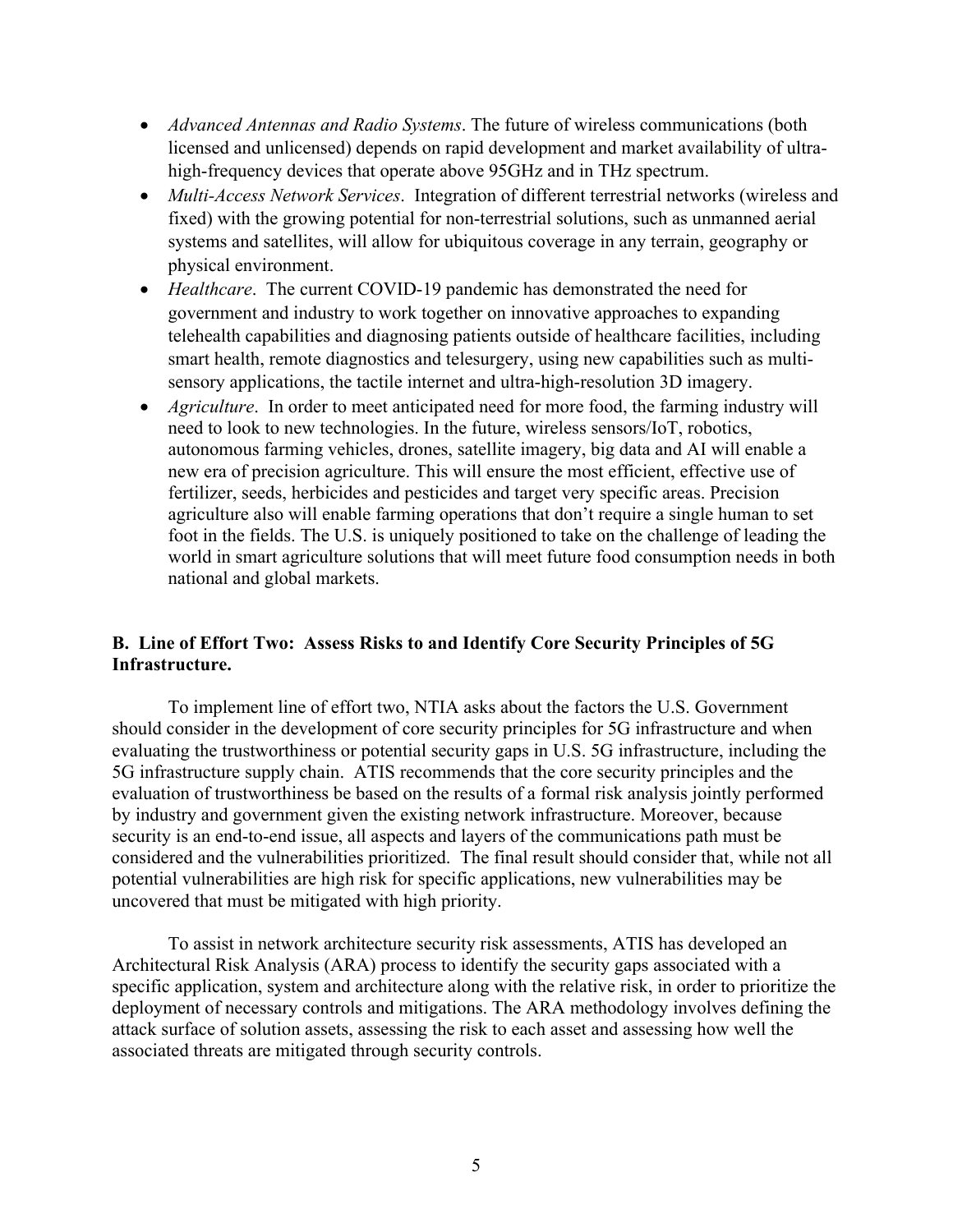- *Advanced Antennas and Radio Systems*. The future of wireless communications (both licensed and unlicensed) depends on rapid development and market availability of ultrahigh-frequency devices that operate above 95GHz and in THz spectrum.
- *Multi-Access Network Services*. Integration of different terrestrial networks (wireless and fixed) with the growing potential for non-terrestrial solutions, such as unmanned aerial systems and satellites, will allow for ubiquitous coverage in any terrain, geography or physical environment.
- *Healthcare*. The current COVID-19 pandemic has demonstrated the need for government and industry to work together on innovative approaches to expanding telehealth capabilities and diagnosing patients outside of healthcare facilities, including smart health, remote diagnostics and telesurgery, using new capabilities such as multisensory applications, the tactile internet and ultra-high-resolution 3D imagery.
- *Agriculture*. In order to meet anticipated need for more food, the farming industry will need to look to new technologies. In the future, wireless sensors/IoT, robotics, autonomous farming vehicles, drones, satellite imagery, big data and AI will enable a new era of precision agriculture. This will ensure the most efficient, effective use of fertilizer, seeds, herbicides and pesticides and target very specific areas. Precision agriculture also will enable farming operations that don't require a single human to set foot in the fields. The U.S. is uniquely positioned to take on the challenge of leading the world in smart agriculture solutions that will meet future food consumption needs in both national and global markets.

# **B. Line of Effort Two: Assess Risks to and Identify Core Security Principles of 5G Infrastructure.**

To implement line of effort two, NTIA asks about the factors the U.S. Government should consider in the development of core security principles for 5G infrastructure and when evaluating the trustworthiness or potential security gaps in U.S. 5G infrastructure, including the 5G infrastructure supply chain. ATIS recommends that the core security principles and the evaluation of trustworthiness be based on the results of a formal risk analysis jointly performed by industry and government given the existing network infrastructure. Moreover, because security is an end-to-end issue, all aspects and layers of the communications path must be considered and the vulnerabilities prioritized. The final result should consider that, while not all potential vulnerabilities are high risk for specific applications, new vulnerabilities may be uncovered that must be mitigated with high priority.

To assist in network architecture security risk assessments, ATIS has developed an Architectural Risk Analysis (ARA) process to identify the security gaps associated with a specific application, system and architecture along with the relative risk, in order to prioritize the deployment of necessary controls and mitigations. The ARA methodology involves defining the attack surface of solution assets, assessing the risk to each asset and assessing how well the associated threats are mitigated through security controls.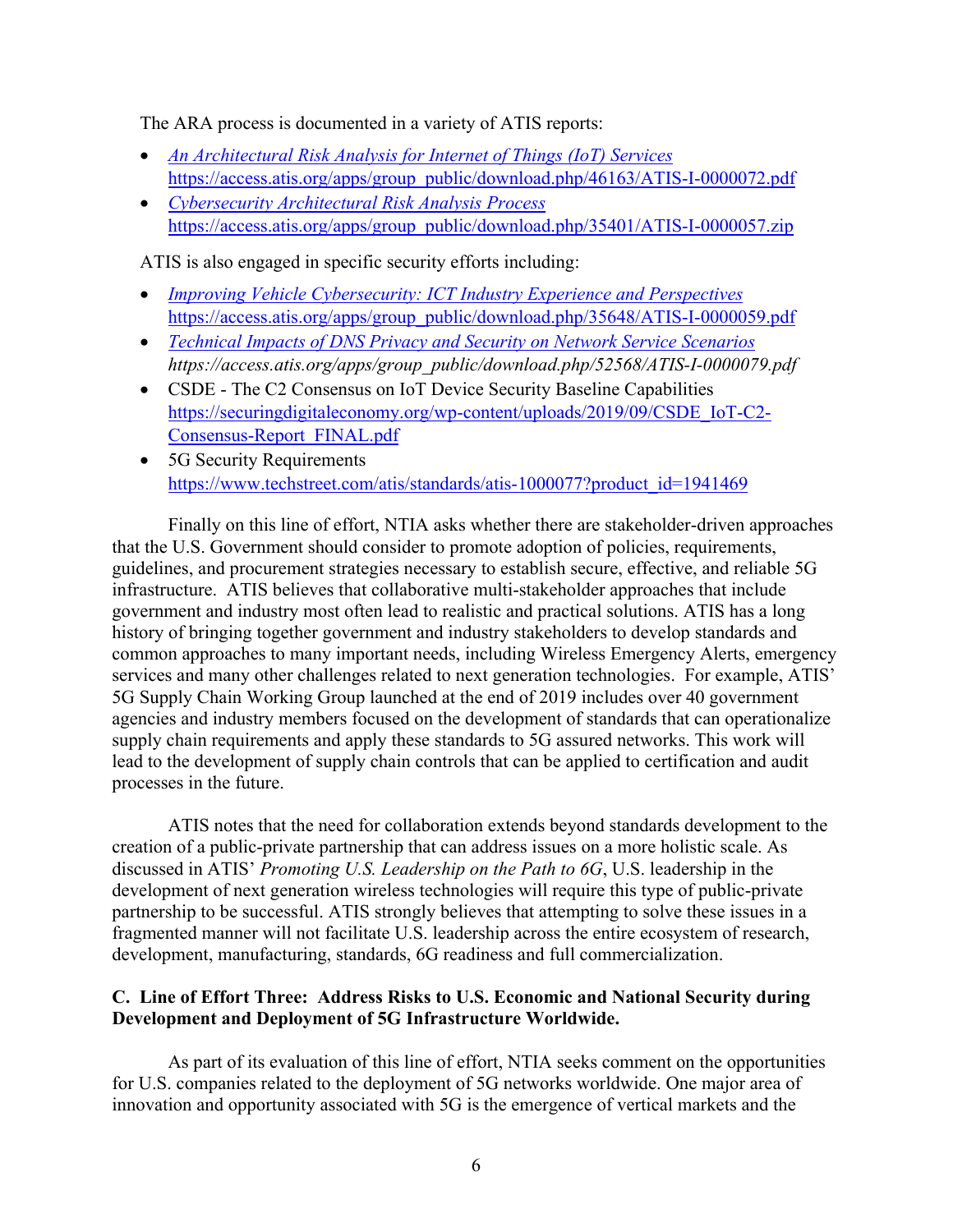The ARA process is documented in a variety of ATIS reports:

- *An Architectural Risk Analysis for Internet of Things (IoT) Services*  https://access.atis.org/apps/group\_public/download.php/46163/ATIS-I-0000072.pdf
- *Cybersecurity Architectural Risk Analysis Process* https://access.atis.org/apps/group\_public/download.php/35401/ATIS-I-0000057.zip

ATIS is also engaged in specific security efforts including:

- *Improving Vehicle Cybersecurity: ICT Industry Experience and Perspectives* https://access.atis.org/apps/group\_public/download.php/35648/ATIS-I-0000059.pdf
- *Technical Impacts of DNS Privacy and Security on Network Service Scenarios https://access.atis.org/apps/group\_public/download.php/52568/ATIS-I-0000079.pdf*
- CSDE The C2 Consensus on IoT Device Security Baseline Capabilities https://securingdigitaleconomy.org/wp-content/uploads/2019/09/CSDE\_IoT-C2- Consensus-Report\_FINAL.pdf
- 5G Security Requirements https://www.techstreet.com/atis/standards/atis-1000077?product\_id=1941469

Finally on this line of effort, NTIA asks whether there are stakeholder-driven approaches that the U.S. Government should consider to promote adoption of policies, requirements, guidelines, and procurement strategies necessary to establish secure, effective, and reliable 5G infrastructure. ATIS believes that collaborative multi-stakeholder approaches that include government and industry most often lead to realistic and practical solutions. ATIS has a long history of bringing together government and industry stakeholders to develop standards and common approaches to many important needs, including Wireless Emergency Alerts, emergency services and many other challenges related to next generation technologies. For example, ATIS' 5G Supply Chain Working Group launched at the end of 2019 includes over 40 government agencies and industry members focused on the development of standards that can operationalize supply chain requirements and apply these standards to 5G assured networks. This work will lead to the development of supply chain controls that can be applied to certification and audit processes in the future.

ATIS notes that the need for collaboration extends beyond standards development to the creation of a public-private partnership that can address issues on a more holistic scale. As discussed in ATIS' *Promoting U.S. Leadership on the Path to 6G*, U.S. leadership in the development of next generation wireless technologies will require this type of public-private partnership to be successful. ATIS strongly believes that attempting to solve these issues in a fragmented manner will not facilitate U.S. leadership across the entire ecosystem of research, development, manufacturing, standards, 6G readiness and full commercialization.

# **C. Line of Effort Three: Address Risks to U.S. Economic and National Security during Development and Deployment of 5G Infrastructure Worldwide.**

As part of its evaluation of this line of effort, NTIA seeks comment on the opportunities for U.S. companies related to the deployment of 5G networks worldwide. One major area of innovation and opportunity associated with 5G is the emergence of vertical markets and the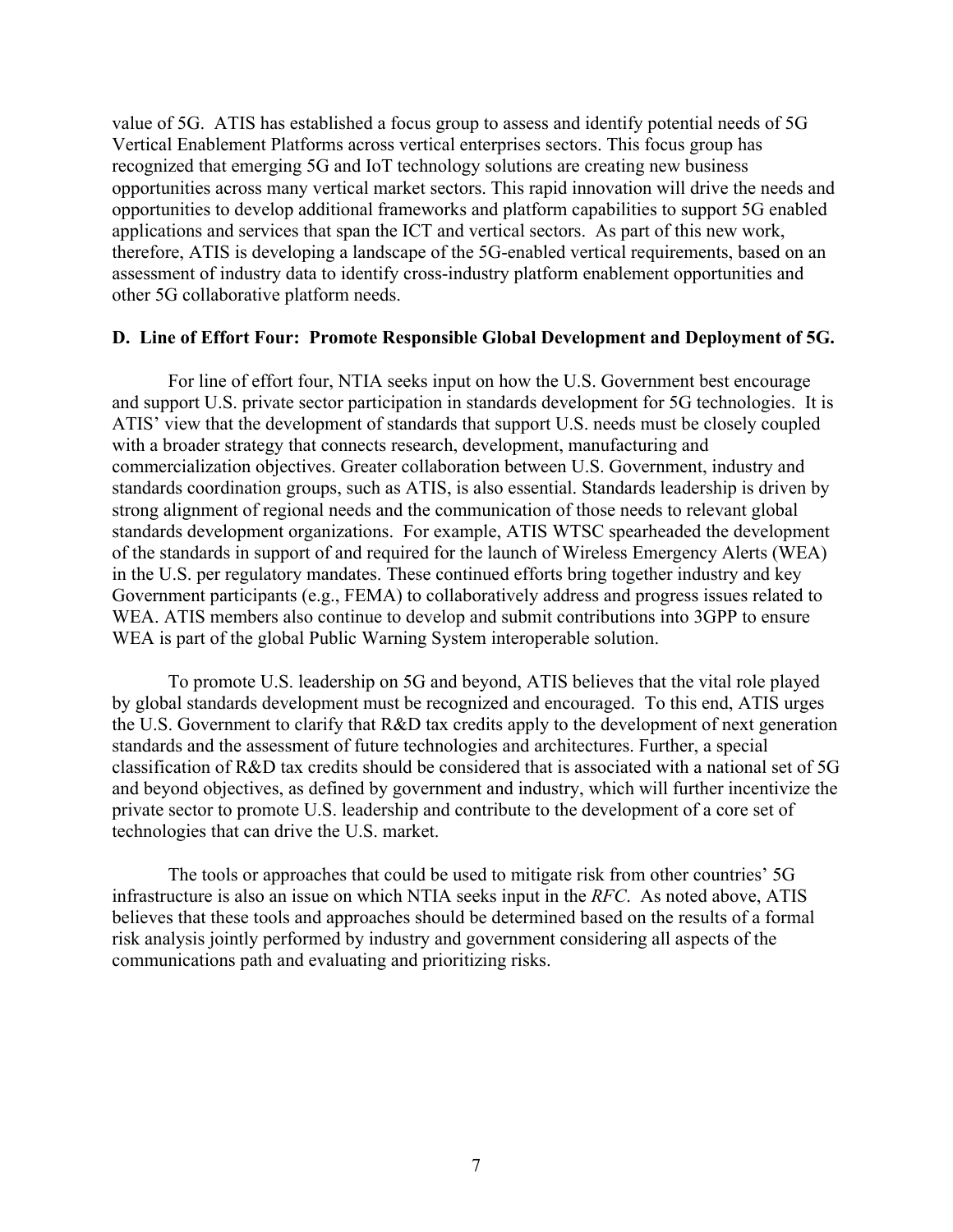value of 5G. ATIS has established a focus group to assess and identify potential needs of 5G Vertical Enablement Platforms across vertical enterprises sectors. This focus group has recognized that emerging 5G and IoT technology solutions are creating new business opportunities across many vertical market sectors. This rapid innovation will drive the needs and opportunities to develop additional frameworks and platform capabilities to support 5G enabled applications and services that span the ICT and vertical sectors. As part of this new work, therefore, ATIS is developing a landscape of the 5G-enabled vertical requirements, based on an assessment of industry data to identify cross-industry platform enablement opportunities and other 5G collaborative platform needs.

### **D. Line of Effort Four: Promote Responsible Global Development and Deployment of 5G.**

For line of effort four, NTIA seeks input on how the U.S. Government best encourage and support U.S. private sector participation in standards development for 5G technologies. It is ATIS' view that the development of standards that support U.S. needs must be closely coupled with a broader strategy that connects research, development, manufacturing and commercialization objectives. Greater collaboration between U.S. Government, industry and standards coordination groups, such as ATIS, is also essential. Standards leadership is driven by strong alignment of regional needs and the communication of those needs to relevant global standards development organizations. For example, ATIS WTSC spearheaded the development of the standards in support of and required for the launch of Wireless Emergency Alerts (WEA) in the U.S. per regulatory mandates. These continued efforts bring together industry and key Government participants (e.g., FEMA) to collaboratively address and progress issues related to WEA. ATIS members also continue to develop and submit contributions into 3GPP to ensure WEA is part of the global Public Warning System interoperable solution.

To promote U.S. leadership on 5G and beyond, ATIS believes that the vital role played by global standards development must be recognized and encouraged. To this end, ATIS urges the U.S. Government to clarify that R&D tax credits apply to the development of next generation standards and the assessment of future technologies and architectures. Further, a special classification of R&D tax credits should be considered that is associated with a national set of 5G and beyond objectives, as defined by government and industry, which will further incentivize the private sector to promote U.S. leadership and contribute to the development of a core set of technologies that can drive the U.S. market.

The tools or approaches that could be used to mitigate risk from other countries' 5G infrastructure is also an issue on which NTIA seeks input in the *RFC*. As noted above, ATIS believes that these tools and approaches should be determined based on the results of a formal risk analysis jointly performed by industry and government considering all aspects of the communications path and evaluating and prioritizing risks.